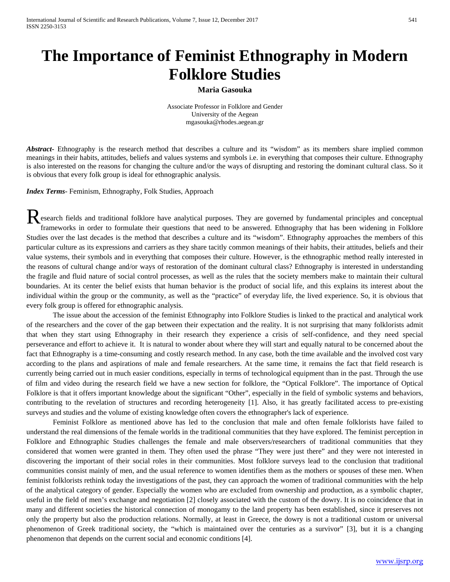## **The Importance of Feminist Ethnography in Modern Folklore Studies**

## **Maria Gasouka**

Associate Professor in Folklore and Gender University of the Aegean mgasouka@rhodes.aegean.gr

Abstract<sub>r</sub> Ethnography is the research method that describes a culture and its "wisdom" as its members share implied common meanings in their habits, attitudes, beliefs and values systems and symbols i.e. in everything that composes their culture. Ethnography is also interested on the reasons for changing the culture and/or the ways of disrupting and restoring the dominant cultural class. So it is obvious that every folk group is ideal for ethnographic analysis.

*Index Terms*- Feminism, Ethnography, Folk Studies, Approach

esearch fields and traditional folklore have analytical purposes. They are governed by fundamental principles and conceptual frameworks in order to formulate their questions that need to be answered. Ethnography that has been widening in Folklore Studies over the last decades is the method that describes a culture and its "wisdom". Ethnography approaches the members of this particular culture as its expressions and carriers as they share tacitly common meanings of their habits, their attitudes, beliefs and their value systems, their symbols and in everything that composes their culture. However, is the ethnographic method really interested in the reasons of cultural change and/or ways of restoration of the dominant cultural class? Ethnography is interested in understanding the fragile and fluid nature of social control processes, as well as the rules that the society members make to maintain their cultural boundaries. At its center the belief exists that human behavior is the product of social life, and this explains its interest about the individual within the group or the community, as well as the "practice" of everyday life, the lived experience. So, it is obvious that every folk group is offered for ethnographic analysis. R

The issue about the accession of the feminist Ethnography into Folklore Studies is linked to the practical and analytical work of the researchers and the cover of the gap between their expectation and the reality. It is not surprising that many folklorists admit that when they start using Ethnography in their research they experience a crisis of self-confidence, and they need special perseverance and effort to achieve it. It is natural to wonder about where they will start and equally natural to be concerned about the fact that Ethnography is a time-consuming and costly research method. In any case, both the time available and the involved cost vary according to the plans and aspirations of male and female researchers. At the same time, it remains the fact that field research is currently being carried out in much easier conditions, especially in terms of technological equipment than in the past. Through the use of film and video during the research field we have a new section for folklore, the "Optical Folklore". The importance of Optical Folklore is that it offers important knowledge about the significant "Other", especially in the field of symbolic systems and behaviors, contributing to the revelation of structures and recording heterogeneity [1]. Also, it has greatly facilitated access to pre-existing surveys and studies and the volume of existing knowledge often covers the ethnographer's lack of experience.

Feminist Folklore as mentioned above has led to the conclusion that male and often female folklorists have failed to understand the real dimensions of the female worlds in the traditional communities that they have explored. The feminist perception in Folklore and Ethnographic Studies challenges the female and male observers/researchers of traditional communities that they considered that women were granted in them. They often used the phrase "They were just there" and they were not interested in discovering the important of their social roles in their communities. Most folklore surveys lead to the conclusion that traditional communities consist mainly of men, and the usual reference to women identifies them as the mothers or spouses of these men. When feminist folklorists rethink today the investigations of the past, they can approach the women of traditional communities with the help of the analytical category of gender. Especially the women who are excluded from ownership and production, as a symbolic chapter, useful in the field of men's exchange and negotiation [2] closely associated with the custom of the dowry. It is no coincidence that in many and different societies the historical connection of monogamy to the land property has been established, since it preserves not only the property but also the production relations. Normally, at least in Greece, the dowry is not a traditional custom or universal phenomenon of Greek traditional society, the "which is maintained over the centuries as a survivor" [3], but it is a changing phenomenon that depends on the current social and economic conditions [4].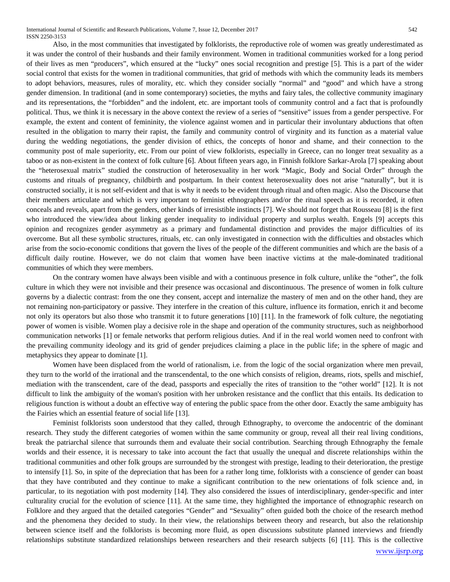International Journal of Scientific and Research Publications, Volume 7, Issue 12, December 2017 542 ISSN 2250-3153

Also, in the most communities that investigated by folklorists, the reproductive role of women was greatly underestimated as it was under the control of their husbands and their family environment. Women in traditional communities worked for a long period of their lives as men "producers", which ensured at the "lucky" ones social recognition and prestige [5]. This is a part of the wider social control that exists for the women in traditional communities, that grid of methods with which the community leads its members to adopt behaviors, measures, rules of morality, etc. which they consider socially "normal" and "good" and which have a strong gender dimension. In traditional (and in some contemporary) societies, the myths and fairy tales, the collective community imaginary and its representations, the "forbidden" and the indolent, etc. are important tools of community control and a fact that is profoundly political. Thus, we think it is necessary in the above context the review of a series of "sensitive" issues from a gender perspective. For example, the extent and content of femininity, the violence against women and in particular their involuntary abductions that often resulted in the obligation to marry their rapist, the family and community control of virginity and its function as a material value during the wedding negotiations, the gender division of ethics, the concepts of honor and shame, and their connection to the community post of male superiority, etc. From our point of view folklorists, especially in Greece, can no longer treat sexuality as a taboo or as non-existent in the context of folk culture [6]. About fifteen years ago, in Finnish folklore Sarkar-Arola [7] speaking about the "heterosexual matrix" studied the construction of heterosexuality in her work "Magic, Body and Social Order" through the customs and rituals of pregnancy, childbirth and postpartum. In their context heterosexuality does not arise "naturally", but it is constructed socially, it is not self-evident and that is why it needs to be evident through ritual and often magic. Also the Discourse that their members articulate and which is very important to feminist ethnographers and/or the ritual speech as it is recorded, it often conceals and reveals, apart from the genders, other kinds of irresistible instincts [7]. We should not forget that Rousseau [8] is the first who introduced the view/idea about linking gender inequality to individual property and surplus wealth. Engels [9] accepts this opinion and recognizes gender asymmetry as a primary and fundamental distinction and provides the major difficulties of its overcome. But all these symbolic structures, rituals, etc. can only investigated in connection with the difficulties and obstacles which arise from the socio-economic conditions that govern the lives of the people of the different communities and which are the basis of a difficult daily routine. However, we do not claim that women have been inactive victims at the male-dominated traditional communities of which they were members.

On the contrary women have always been visible and with a continuous presence in folk culture, unlike the "other", the folk culture in which they were not invisible and their presence was occasional and discontinuous. The presence of women in folk culture governs by a dialectic contrast: from the one they consent, accept and internalize the mastery of men and on the other hand, they are not remaining non-participatory or passive. They interfere in the creation of this culture, influence its formation, enrich it and become not only its operators but also those who transmit it to future generations [10] [11]. In the framework of folk culture, the negotiating power of women is visible. Women play a decisive role in the shape and operation of the community structures, such as neighborhood communication networks [1] or female networks that perform religious duties. And if in the real world women need to confront with the prevailing community ideology and its grid of gender prejudices claiming a place in the public life; in the sphere of magic and metaphysics they appear to dominate [1].

Women have been displaced from the world of rationalism, i.e. from the logic of the social organization where men prevail, they turn to the world of the irrational and the transcendental, to the one which consists of religion, dreams, riots, spells and mischief, mediation with the transcendent, care of the dead, passports and especially the rites of transition to the "other world" [12]. It is not difficult to link the ambiguity of the woman's position with her unbroken resistance and the conflict that this entails. Its dedication to religious function is without a doubt an effective way of entering the public space from the other door. Exactly the same ambiguity has the Fairies which an essential feature of social life [13].

Feminist folklorists soon understood that they called, through Ethnography, to overcome the andocentric of the dominant research. They study the different categories of women within the same community or group, reveal all their real living conditions, break the patriarchal silence that surrounds them and evaluate their social contribution. Searching through Ethnography the female worlds and their essence, it is necessary to take into account the fact that usually the unequal and discrete relationships within the traditional communities and other folk groups are surrounded by the strongest with prestige, leading to their deterioration, the prestige to intensify [1]. So, in spite of the depreciation that has been for a rather long time, folklorists with a conscience of gender can boast that they have contributed and they continue to make a significant contribution to the new orientations of folk science and, in particular, to its negotiation with post modernity [14]. They also considered the issues of interdisciplinary, gender-specific and inter culturality crucial for the evolution of science [11]. At the same time, they highlighted the importance of ethnographic research on Folklore and they argued that the detailed categories "Gender" and "Sexuality" often guided both the choice of the research method and the phenomena they decided to study. In their view, the relationships between theory and research, but also the relationship between science itself and the folklorists is becoming more fluid, as open discussions substitute planned interviews and friendly relationships substitute standardized relationships between researchers and their research subjects [6] [11]. This is the collective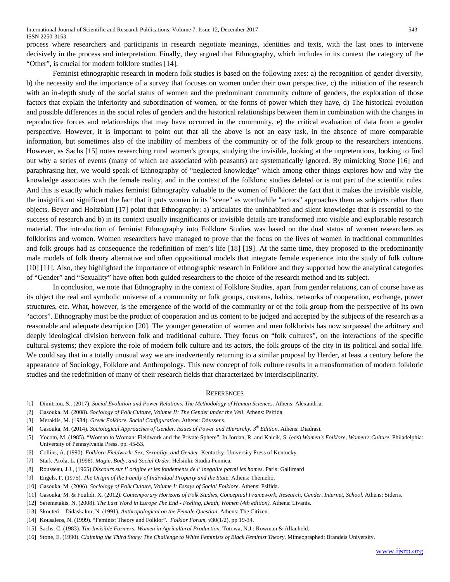process where researchers and participants in research negotiate meanings, identities and texts, with the last ones to intervene decisively in the process and interpretation. Finally, they argued that Ethnography, which includes in its context the category of the "Other", is crucial for modern folklore studies [14].

Feminist ethnographic research in modern folk studies is based on the following axes: a) the recognition of gender diversity, b) the necessity and the importance of a survey that focuses on women under their own perspective, c) the initiation of the research with an in-depth study of the social status of women and the predominant community culture of genders, the exploration of those factors that explain the inferiority and subordination of women, or the forms of power which they have, d) The historical evolution and possible differences in the social roles of genders and the historical relationships between them in combination with the changes in reproductive forces and relationships that may have occurred in the community, e) the critical evaluation of data from a gender perspective. However, it is important to point out that all the above is not an easy task, in the absence of more comparable information, but sometimes also of the inability of members of the community or of the folk group to the researchers intentions. However, as Sachs [15] notes researching rural women's groups, studying the invisible, looking at the unpretentious, looking to find out why a series of events (many of which are associated with peasants) are systematically ignored. By mimicking Stone [16] and paraphrasing her, we would speak of Ethnography of "neglected knowledge" which among other things explores how and why the knowledge associates with the female reality, and in the context of the folkloric studies deleted or is not part of the scientific rules. And this is exactly which makes feminist Ethnography valuable to the women of Folklore: the fact that it makes the invisible visible, the insignificant significant the fact that it puts women in its "scene" as worthwhile "actors" approaches them as subjects rather than objects. Beyer and Holtzblatt [17] point that Ethnography: a) articulates the uninhabited and silent knowledge that is essential to the success of research and b) in its context usually insignificants or invisible details are transformed into visible and exploitable research material. The introduction of feminist Ethnography into Folklore Studies was based on the dual status of women researchers as folklorists and women. Women researchers have managed to prove that the focus on the lives of women in traditional communities and folk groups had as consequence the redefinition of men's life [18] [19]. At the same time, they proposed to the predominantly male models of folk theory alternative and often oppositional models that integrate female experience into the study of folk culture [10] [11]. Also, they highlighted the importance of ethnographic research in Folklore and they supported how the analytical categories of "Gender" and "Sexuality" have often both guided researchers to the choice of the research method and its subject.

In conclusion, we note that Ethnography in the context of Folklore Studies, apart from gender relations, can of course have as its object the real and symbolic universe of a community or folk groups, customs, habits, networks of cooperation, exchange, power structures, etc. What, however, is the emergence of the world of the community or of the folk group from the perspective of its own "actors". Ethnography must be the product of cooperation and its content to be judged and accepted by the subjects of the research as a reasonable and adequate description [20]. The younger generation of women and men folklorists has now surpassed the arbitrary and deeply ideological division between folk and traditional culture. They focus on "folk cultures", on the interactions of the specific cultural systems; they explore the role of modern folk culture and its actors, the folk groups of the city in its political and social life. We could say that in a totally unusual way we are inadvertently returning to a similar proposal by Herder, at least a century before the appearance of Sociology, Folklore and Anthropology. This new concept of folk culture results in a transformation of modern folkloric studies and the redefinition of many of their research fields that characterized by interdisciplinarity.

## **REFERENCES**

- [1] Dimitriou, S., (2017). *Social Evolution and Power Relations. The Methodology of Human Sciences*. Athens: Alexandria.
- [2] Gasouka, M. (2008). *Sociology of Folk Culture, Volume II: The Gender under the Veil.* Athens: Psifida.
- [3] Meraklis, M. (1984). *Greek Folklore. Social Configuration*. Athens: Odysseus.
- [4] Gasouka, M. (2014). *Sociological Approaches of Gender. Issues of Power and Hierarchy. 3th Edition*. Athens: Diadrasi.
- [5] Yocom, M. (1985). "Woman to Woman: Fieldwork and the Private Sphere". In Jordan, R. and Kalcik, S. (eds) *Women's Folklore, Women's Culture*. Philadelphia: University of Pennsylvania Press. pp. 45-53.
- [6] Collins, A. (1990). *Folklore Fieldwork: Sex, Sexuality, and Gender*. Kentucky: University Press of Kentucky.
- [7] Stark-Arola, L. (1998). *Magic, Body, and Social Order*. Helsinki: Studia Fennica.
- [8] Rousseau, J.J., (1965) *Discours sur l' origine et les fondements de l' inegalite parmi les homes*. Ρaris: Gallimard
- [9] Engels, F. (1975). *The Origin of the Family of Individual Property and the State*. Athens: Themelio.
- [10] Gasouka, Μ. (2006). *Sociology of Folk Culture, Volume I: Essays of Social Folklore*. Athens: Psifida.
- [11] Gasouka, M. & Foulidi, X. (2012). *Contemporary Horizons of Folk Studies, Conceptual Framework, Research, Gender, Internet, School*. Athens: Sideris.
- [12] Seremetakis, N. (2008). *The Last Word in Europe The End - Feeling, Death, Women (4th edition)*. Athens: Livanis.
- [13] Skouteri Didaskalou, N. (1991). *Anthropological on the Female Question*. Athens: The Citizen.
- [14] Kousaleos, N. (1999). "Feminist Theory and Folklor". *Folklor Forum,* v30(1/2), pp 19-34.
- [15] Sachs, C. (1983). *The Invisible Farmers: Women in Agricultural Production*. Totowa, N.J.: Rowman & Allanheld.
- [16] Stone, E. (1990). *Claiming the Third Story: The Challenge to White Feminists of Black Feminist Theory*. Mimeographed: Brandeis University.